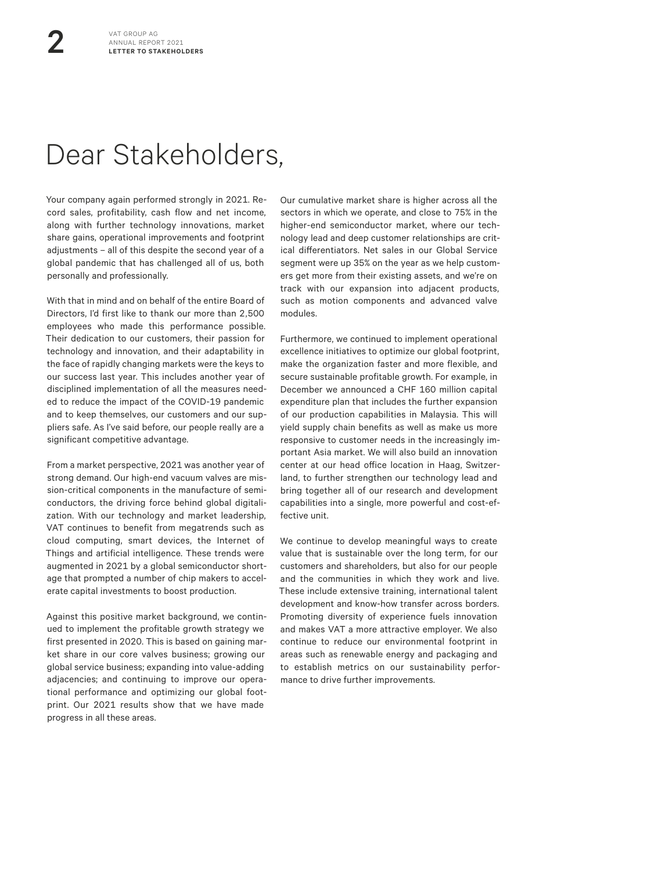## Dear Stakeholders,

Your company again performed strongly in 2021. Record sales, profitability, cash flow and net income, along with further technology innovations, market share gains, operational improvements and footprint adjustments – all of this despite the second year of a global pandemic that has challenged all of us, both personally and professionally.

With that in mind and on behalf of the entire Board of Directors, I'd first like to thank our more than 2,500 employees who made this performance possible. Their dedication to our customers, their passion for technology and innovation, and their adaptability in the face of rapidly changing markets were the keys to our success last year. This includes another year of disciplined implementation of all the measures needed to reduce the impact of the COVID-19 pandemic and to keep themselves, our customers and our suppliers safe. As I've said before, our people really are a significant competitive advantage.

From a market perspective, 2021 was another year of strong demand. Our high-end vacuum valves are mission-critical components in the manufacture of semiconductors, the driving force behind global digitalization. With our technology and market leadership, VAT continues to benefit from megatrends such as cloud computing, smart devices, the Internet of Things and artificial intelligence. These trends were augmented in 2021 by a global semiconductor shortage that prompted a number of chip makers to accelerate capital investments to boost production.

Against this positive market background, we continued to implement the profitable growth strategy we first presented in 2020. This is based on gaining market share in our core valves business; growing our global service business; expanding into value-adding adjacencies; and continuing to improve our operational performance and optimizing our global footprint. Our 2021 results show that we have made progress in all these areas.

Our cumulative market share is higher across all the sectors in which we operate, and close to 75% in the higher-end semiconductor market, where our technology lead and deep customer relationships are critical differentiators. Net sales in our Global Service segment were up 35% on the year as we help customers get more from their existing assets, and we're on track with our expansion into adjacent products, such as motion components and advanced valve modules.

Furthermore, we continued to implement operational excellence initiatives to optimize our global footprint, make the organization faster and more flexible, and secure sustainable profitable growth. For example, in December we announced a CHF 160 million capital expenditure plan that includes the further expansion of our production capabilities in Malaysia. This will yield supply chain benefits as well as make us more responsive to customer needs in the increasingly important Asia market. We will also build an innovation center at our head office location in Haag, Switzerland, to further strengthen our technology lead and bring together all of our research and development capabilities into a single, more powerful and cost-effective unit.

We continue to develop meaningful ways to create value that is sustainable over the long term, for our customers and shareholders, but also for our people and the communities in which they work and live. These include extensive training, international talent development and know-how transfer across borders. Promoting diversity of experience fuels innovation and makes VAT a more attractive employer. We also continue to reduce our environmental footprint in areas such as renewable energy and packaging and to establish metrics on our sustainability performance to drive further improvements.